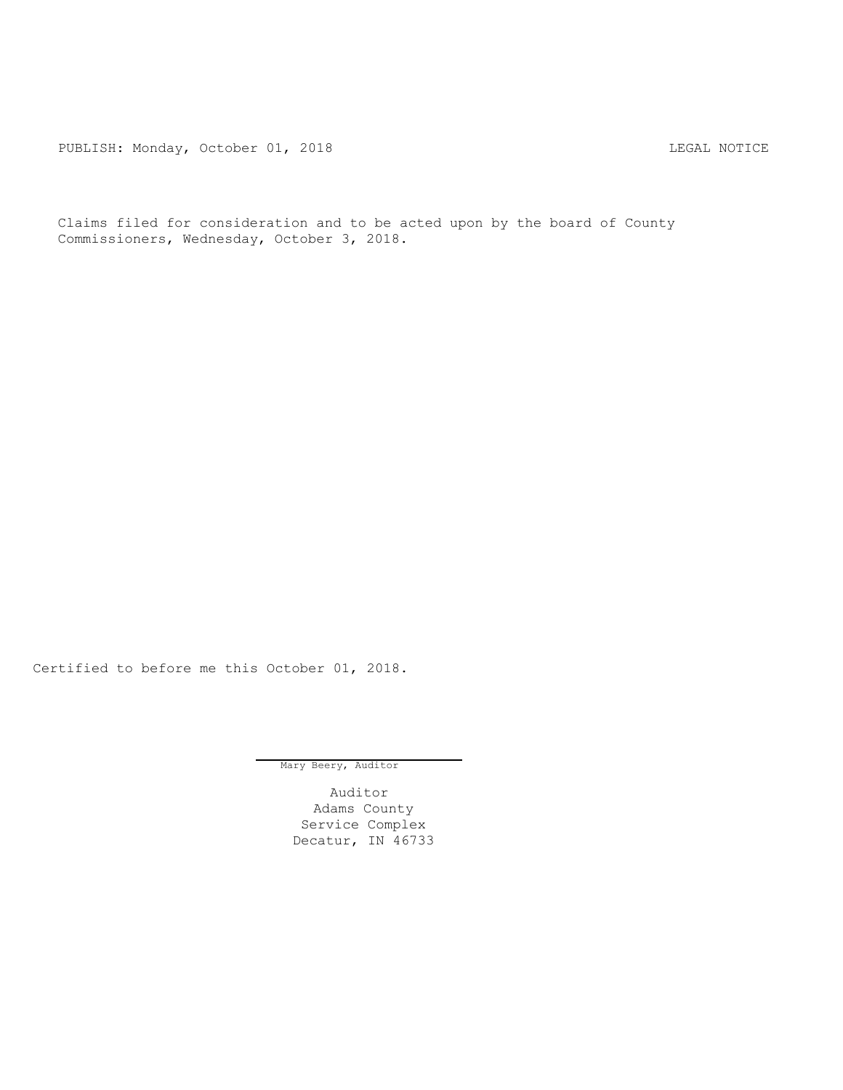PUBLISH: Monday, October 01, 2018 CHANGE CONSERVATION CONTROL REGAL NOTICE

Claims filed for consideration and to be acted upon by the board of County Commissioners, Wednesday, October 3, 2018.

Certified to before me this October 01, 2018.

Mary Beery, Auditor

Auditor Adams County Service Complex Decatur, IN 46733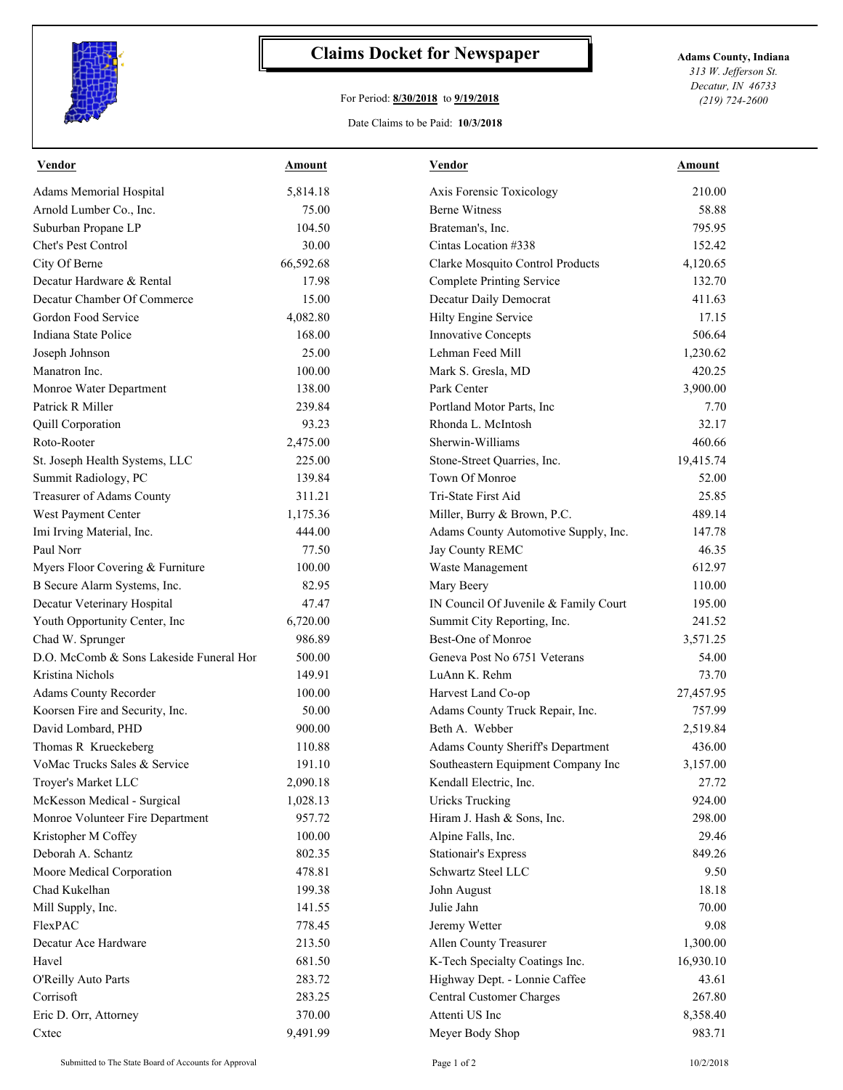

## **Claims Docket for Newspaper Adams County, Indiana**

## For Period: **8/30/2018** to **9/19/2018**

*313 W. Jefferson St. Decatur, IN 46733 (219) 724-2600*

## Date Claims to be Paid: **10/3/2018**

| <b>Vendor</b>                           | Amount    | <b>Vendor</b>                         | Amount    |
|-----------------------------------------|-----------|---------------------------------------|-----------|
| Adams Memorial Hospital                 | 5,814.18  | Axis Forensic Toxicology              | 210.00    |
| Arnold Lumber Co., Inc.                 | 75.00     | <b>Berne Witness</b>                  | 58.88     |
| Suburban Propane LP                     | 104.50    | Brateman's, Inc.                      | 795.95    |
| Chet's Pest Control                     | 30.00     | Cintas Location #338                  | 152.42    |
| City Of Berne                           | 66,592.68 | Clarke Mosquito Control Products      | 4,120.65  |
| Decatur Hardware & Rental               | 17.98     | <b>Complete Printing Service</b>      | 132.70    |
| Decatur Chamber Of Commerce             | 15.00     | Decatur Daily Democrat                | 411.63    |
| Gordon Food Service                     | 4,082.80  | Hilty Engine Service                  | 17.15     |
| Indiana State Police                    | 168.00    | Innovative Concepts                   | 506.64    |
| Joseph Johnson                          | 25.00     | Lehman Feed Mill                      | 1,230.62  |
| Manatron Inc.                           | 100.00    | Mark S. Gresla, MD                    | 420.25    |
| Monroe Water Department                 | 138.00    | Park Center                           | 3,900.00  |
| Patrick R Miller                        | 239.84    | Portland Motor Parts, Inc             | 7.70      |
| Quill Corporation                       | 93.23     | Rhonda L. McIntosh                    | 32.17     |
| Roto-Rooter                             | 2,475.00  | Sherwin-Williams                      | 460.66    |
| St. Joseph Health Systems, LLC          | 225.00    | Stone-Street Quarries, Inc.           | 19,415.74 |
| Summit Radiology, PC                    | 139.84    | Town Of Monroe                        | 52.00     |
| Treasurer of Adams County               | 311.21    | Tri-State First Aid                   | 25.85     |
| West Payment Center                     | 1,175.36  | Miller, Burry & Brown, P.C.           | 489.14    |
| Imi Irving Material, Inc.               | 444.00    | Adams County Automotive Supply, Inc.  | 147.78    |
| Paul Norr                               | 77.50     | Jay County REMC                       | 46.35     |
| Myers Floor Covering & Furniture        | 100.00    | Waste Management                      | 612.97    |
| B Secure Alarm Systems, Inc.            | 82.95     | Mary Beery                            | 110.00    |
| Decatur Veterinary Hospital             | 47.47     | IN Council Of Juvenile & Family Court | 195.00    |
| Youth Opportunity Center, Inc           | 6,720.00  | Summit City Reporting, Inc.           | 241.52    |
| Chad W. Sprunger                        | 986.89    | Best-One of Monroe                    | 3,571.25  |
| D.O. McComb & Sons Lakeside Funeral Hor | 500.00    | Geneva Post No 6751 Veterans          | 54.00     |
| Kristina Nichols                        | 149.91    | LuAnn K. Rehm                         | 73.70     |
| Adams County Recorder                   | 100.00    | Harvest Land Co-op                    | 27,457.95 |
| Koorsen Fire and Security, Inc.         | 50.00     | Adams County Truck Repair, Inc.       | 757.99    |
| David Lombard, PHD                      | 900.00    | Beth A. Webber                        | 2,519.84  |
| Thomas R Krueckeberg                    | 110.88    | Adams County Sheriff's Department     | 436.00    |
| VoMac Trucks Sales & Service            | 191.10    | Southeastern Equipment Company Inc    | 3,157.00  |
| Troyer's Market LLC                     | 2,090.18  | Kendall Electric, Inc.                | 27.72     |
| McKesson Medical - Surgical             | 1,028.13  | <b>Uricks Trucking</b>                | 924.00    |
| Monroe Volunteer Fire Department        | 957.72    | Hiram J. Hash & Sons, Inc.            | 298.00    |
| Kristopher M Coffey                     | 100.00    | Alpine Falls, Inc.                    | 29.46     |
| Deborah A. Schantz                      | 802.35    | <b>Stationair's Express</b>           | 849.26    |
| Moore Medical Corporation               | 478.81    | Schwartz Steel LLC                    | 9.50      |
| Chad Kukelhan                           | 199.38    | John August                           | 18.18     |
| Mill Supply, Inc.                       | 141.55    | Julie Jahn                            | 70.00     |
| FlexPAC                                 | 778.45    | Jeremy Wetter                         | 9.08      |
| Decatur Ace Hardware                    | 213.50    | Allen County Treasurer                | 1,300.00  |
| Havel                                   | 681.50    | K-Tech Specialty Coatings Inc.        | 16,930.10 |
| O'Reilly Auto Parts                     | 283.72    | Highway Dept. - Lonnie Caffee         | 43.61     |
| Corrisoft                               | 283.25    | Central Customer Charges              | 267.80    |
| Eric D. Orr, Attorney                   | 370.00    | Attenti US Inc                        | 8,358.40  |
| Cxtec                                   | 9,491.99  | Meyer Body Shop                       | 983.71    |